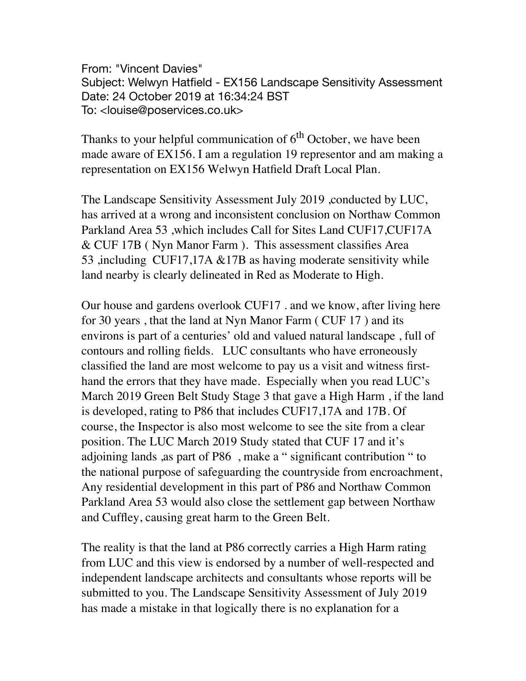From: "Vincent Davies" Subject: Welwyn Hatfield - EX156 Landscape Sensitivity Assessment Date: 24 October 2019 at 16:34:24 BST To: <louise@poservices.co.uk>

Thanks to your helpful communication of  $6<sup>th</sup>$  October, we have been made aware of EX156. I am a regulation 19 representor and am making a representation on EX156 Welwyn Hatfield Draft Local Plan.

The Landscape Sensitivity Assessment July 2019 , conducted by LUC, has arrived at a wrong and inconsistent conclusion on Northaw Common Parkland Area 53 ,which includes Call for Sites Land CUF17,CUF17A & CUF 17B ( Nyn Manor Farm ). This assessment classifies Area 53 ,including CUF17,17A &17B as having moderate sensitivity while land nearby is clearly delineated in Red as Moderate to High.

Our house and gardens overlook CUF17 . and we know, after living here for 30 years , that the land at Nyn Manor Farm ( CUF 17 ) and its environs is part of a centuries' old and valued natural landscape , full of contours and rolling fields. LUC consultants who have erroneously classified the land are most welcome to pay us a visit and witness firsthand the errors that they have made. Especially when you read LUC's March 2019 Green Belt Study Stage 3 that gave a High Harm , if the land is developed, rating to P86 that includes CUF17,17A and 17B. Of course, the Inspector is also most welcome to see the site from a clear position. The LUC March 2019 Study stated that CUF 17 and it's adjoining lands ,as part of P86 , make a " significant contribution " to the national purpose of safeguarding the countryside from encroachment, Any residential development in this part of P86 and Northaw Common Parkland Area 53 would also close the settlement gap between Northaw and Cuffley, causing great harm to the Green Belt.

The reality is that the land at P86 correctly carries a High Harm rating from LUC and this view is endorsed by a number of well-respected and independent landscape architects and consultants whose reports will be submitted to you. The Landscape Sensitivity Assessment of July 2019 has made a mistake in that logically there is no explanation for a